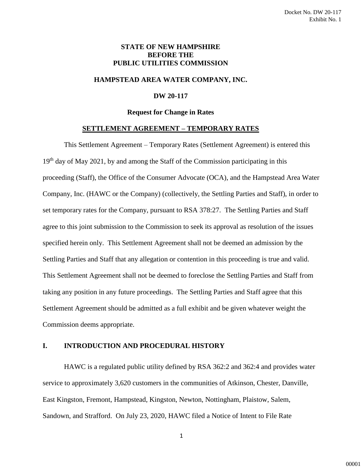## **STATE OF NEW HAMPSHIRE BEFORE THE PUBLIC UTILITIES COMMISSION**

## **HAMPSTEAD AREA WATER COMPANY, INC.**

## **DW 20-117**

#### **Request for Change in Rates**

#### **SETTLEMENT AGREEMENT – TEMPORARY RATES**

This Settlement Agreement – Temporary Rates (Settlement Agreement) is entered this  $19<sup>th</sup>$  day of May 2021, by and among the Staff of the Commission participating in this proceeding (Staff), the Office of the Consumer Advocate (OCA), and the Hampstead Area Water Company, Inc. (HAWC or the Company) (collectively, the Settling Parties and Staff), in order to set temporary rates for the Company, pursuant to RSA 378:27. The Settling Parties and Staff agree to this joint submission to the Commission to seek its approval as resolution of the issues specified herein only. This Settlement Agreement shall not be deemed an admission by the Settling Parties and Staff that any allegation or contention in this proceeding is true and valid. This Settlement Agreement shall not be deemed to foreclose the Settling Parties and Staff from taking any position in any future proceedings. The Settling Parties and Staff agree that this Settlement Agreement should be admitted as a full exhibit and be given whatever weight the Commission deems appropriate.

### **I. INTRODUCTION AND PROCEDURAL HISTORY**

HAWC is a regulated public utility defined by RSA 362:2 and 362:4 and provides water service to approximately 3,620 customers in the communities of Atkinson, Chester, Danville, East Kingston, Fremont, Hampstead, Kingston, Newton, Nottingham, Plaistow, Salem, Sandown, and Strafford. On July 23, 2020, HAWC filed a Notice of Intent to File Rate

1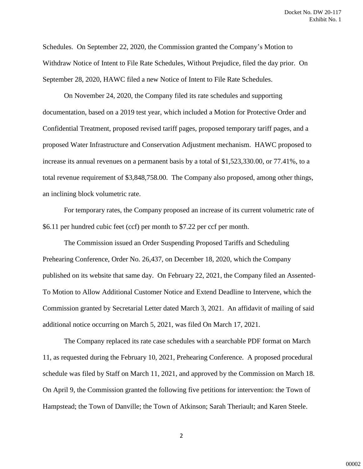Schedules. On September 22, 2020, the Commission granted the Company's Motion to Withdraw Notice of Intent to File Rate Schedules, Without Prejudice, filed the day prior. On September 28, 2020, HAWC filed a new Notice of Intent to File Rate Schedules.

On November 24, 2020, the Company filed its rate schedules and supporting documentation, based on a 2019 test year, which included a Motion for Protective Order and Confidential Treatment, proposed revised tariff pages, proposed temporary tariff pages, and a proposed Water Infrastructure and Conservation Adjustment mechanism. HAWC proposed to increase its annual revenues on a permanent basis by a total of \$1,523,330.00, or 77.41%, to a total revenue requirement of \$3,848,758.00. The Company also proposed, among other things, an inclining block volumetric rate.

For temporary rates, the Company proposed an increase of its current volumetric rate of \$6.11 per hundred cubic feet (ccf) per month to \$7.22 per ccf per month.

The Commission issued an Order Suspending Proposed Tariffs and Scheduling Prehearing Conference, Order No. 26,437, on December 18, 2020, which the Company published on its website that same day. On February 22, 2021, the Company filed an Assented-To Motion to Allow Additional Customer Notice and Extend Deadline to Intervene, which the Commission granted by Secretarial Letter dated March 3, 2021. An affidavit of mailing of said additional notice occurring on March 5, 2021, was filed On March 17, 2021.

The Company replaced its rate case schedules with a searchable PDF format on March 11, as requested during the February 10, 2021, Prehearing Conference. A proposed procedural schedule was filed by Staff on March 11, 2021, and approved by the Commission on March 18. On April 9, the Commission granted the following five petitions for intervention: the Town of Hampstead; the Town of Danville; the Town of Atkinson; Sarah Theriault; and Karen Steele.

2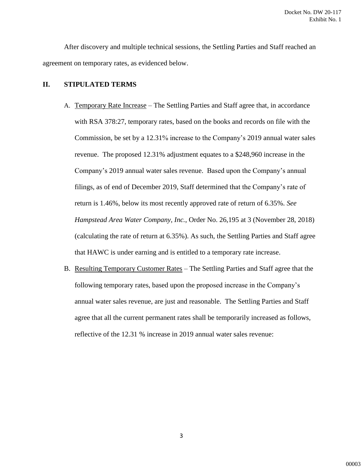After discovery and multiple technical sessions, the Settling Parties and Staff reached an agreement on temporary rates, as evidenced below.

## **II. STIPULATED TERMS**

- A. Temporary Rate Increase The Settling Parties and Staff agree that, in accordance with RSA 378:27, temporary rates, based on the books and records on file with the Commission, be set by a 12.31% increase to the Company's 2019 annual water sales revenue. The proposed 12.31% adjustment equates to a \$248,960 increase in the Company's 2019 annual water sales revenue. Based upon the Company's annual filings, as of end of December 2019, Staff determined that the Company's rate of return is 1.46%, below its most recently approved rate of return of 6.35%. *See Hampstead Area Water Company, Inc.*, Order No. 26,195 at 3 (November 28, 2018) (calculating the rate of return at 6.35%). As such, the Settling Parties and Staff agree that HAWC is under earning and is entitled to a temporary rate increase.
- B. Resulting Temporary Customer Rates The Settling Parties and Staff agree that the following temporary rates, based upon the proposed increase in the Company's annual water sales revenue, are just and reasonable. The Settling Parties and Staff agree that all the current permanent rates shall be temporarily increased as follows, reflective of the 12.31 % increase in 2019 annual water sales revenue:

3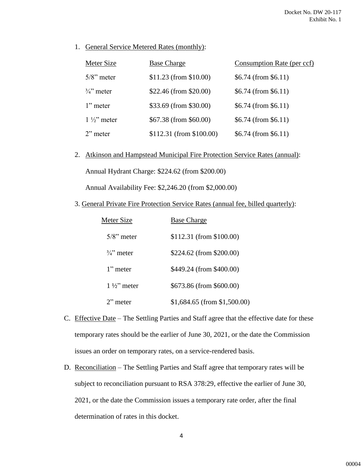1. General Service Metered Rates (monthly):

| Meter Size            | <b>Base Charge</b>        | Consumption Rate (per ccf) |
|-----------------------|---------------------------|----------------------------|
| $5/8$ " meter         | $$11.23$ (from \$10.00)   | $$6.74$ (from \$6.11)      |
| $\frac{3}{4}$ " meter | \$22.46 (from \$20.00)    | $$6.74$ (from \$6.11)      |
| $1$ " meter           | \$33.69 (from \$30.00)    | $$6.74$ (from \$6.11)      |
| $1\frac{1}{2}$ meter  | \$67.38 (from \$60.00)    | $$6.74$ (from \$6.11)      |
| $2$ " meter           | $$112.31$ (from \$100.00) | $$6.74$ (from \$6.11)      |

2. Atkinson and Hampstead Municipal Fire Protection Service Rates (annual):

Annual Hydrant Charge: \$224.62 (from \$200.00)

Annual Availability Fee: \$2,246.20 (from \$2,000.00)

3. General Private Fire Protection Service Rates (annual fee, billed quarterly):

| Meter Size            | <b>Base Charge</b>              |
|-----------------------|---------------------------------|
| $5/8$ " meter         | \$112.31 (from \$100.00)        |
| $\frac{3}{4}$ " meter | \$224.62 (from \$200.00)        |
| $1"$ meter            | \$449.24 (from \$400.00)        |
| $1\frac{1}{2}$ meter  | \$673.86 (from \$600.00)        |
| $2$ " meter           | $$1,684.65$ (from $$1,500.00$ ) |

- C. Effective Date The Settling Parties and Staff agree that the effective date for these temporary rates should be the earlier of June 30, 2021, or the date the Commission issues an order on temporary rates, on a service-rendered basis.
- D. Reconciliation The Settling Parties and Staff agree that temporary rates will be subject to reconciliation pursuant to RSA 378:29, effective the earlier of June 30, 2021, or the date the Commission issues a temporary rate order, after the final determination of rates in this docket.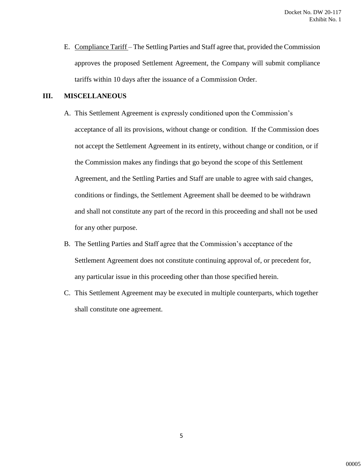E. Compliance Tariff – The Settling Parties and Staff agree that, provided the Commission approves the proposed Settlement Agreement, the Company will submit compliance tariffs within 10 days after the issuance of a Commission Order.

# **III. MISCELLANEOUS**

- A. This Settlement Agreement is expressly conditioned upon the Commission's acceptance of all its provisions, without change or condition. If the Commission does not accept the Settlement Agreement in its entirety, without change or condition, or if the Commission makes any findings that go beyond the scope of this Settlement Agreement, and the Settling Parties and Staff are unable to agree with said changes, conditions or findings, the Settlement Agreement shall be deemed to be withdrawn and shall not constitute any part of the record in this proceeding and shall not be used for any other purpose.
- B. The Settling Parties and Staff agree that the Commission's acceptance of the Settlement Agreement does not constitute continuing approval of, or precedent for, any particular issue in this proceeding other than those specified herein.
- C. This Settlement Agreement may be executed in multiple counterparts, which together shall constitute one agreement.